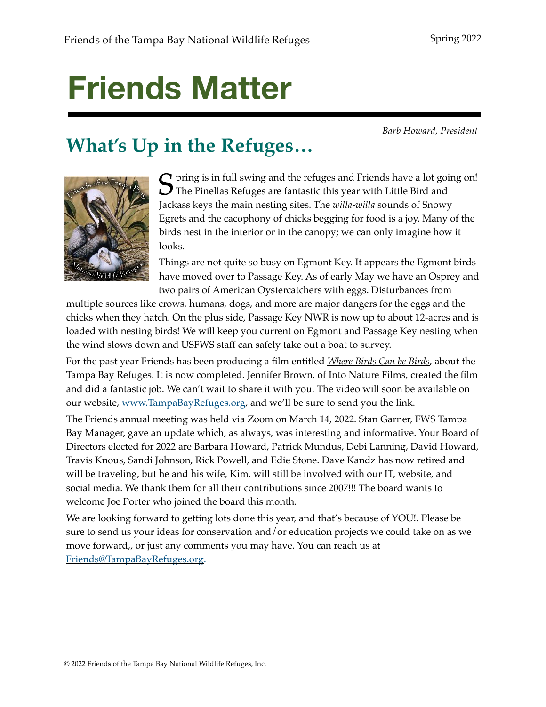# **Friends Matter**

*Barb Howard, President*

# **What's Up in the Refuges…**



**S** pring is in full swing and the refuges and Friends have a lot going on!<br>The Pinellas Refuges are fantastic this year with Little Bird and Jackass keys the main nesting sites. The *willa-willa* sounds of Snowy Egrets and the cacophony of chicks begging for food is a joy. Many of the birds nest in the interior or in the canopy; we can only imagine how it looks.

Things are not quite so busy on Egmont Key. It appears the Egmont birds have moved over to Passage Key. As of early May we have an Osprey and two pairs of American Oystercatchers with eggs. Disturbances from

multiple sources like crows, humans, dogs, and more are major dangers for the eggs and the chicks when they hatch. On the plus side, Passage Key NWR is now up to about 12-acres and is loaded with nesting birds! We will keep you current on Egmont and Passage Key nesting when the wind slows down and USFWS staff can safely take out a boat to survey.

For the past year Friends has been producing a film entitled *Where Birds Can be Birds*, about the Tampa Bay Refuges. It is now completed. Jennifer Brown, of Into Nature Films, created the film and did a fantastic job. We can't wait to share it with you. The video will soon be available on our website, www.TampaBayRefuges.org, and we'll be sure to send you the link.

The Friends annual meeting was held via Zoom on March 14, 2022. Stan Garner, FWS Tampa Bay Manager, gave an update which, as always, was interesting and informative. Your Board of Directors elected for 2022 are Barbara Howard, Patrick Mundus, Debi Lanning, David Howard, Travis Knous, Sandi Johnson, Rick Powell, and Edie Stone. Dave Kandz has now retired and will be traveling, but he and his wife, Kim, will still be involved with our IT, website, and social media. We thank them for all their contributions since 2007!!! The board wants to welcome Joe Porter who joined the board this month.

We are looking forward to getting lots done this year, and that's because of YOU!. Please be sure to send us your ideas for conservation and/or education projects we could take on as we move forward,, or just any comments you may have. You can reach us at Friends@TampaBayRefuges.org.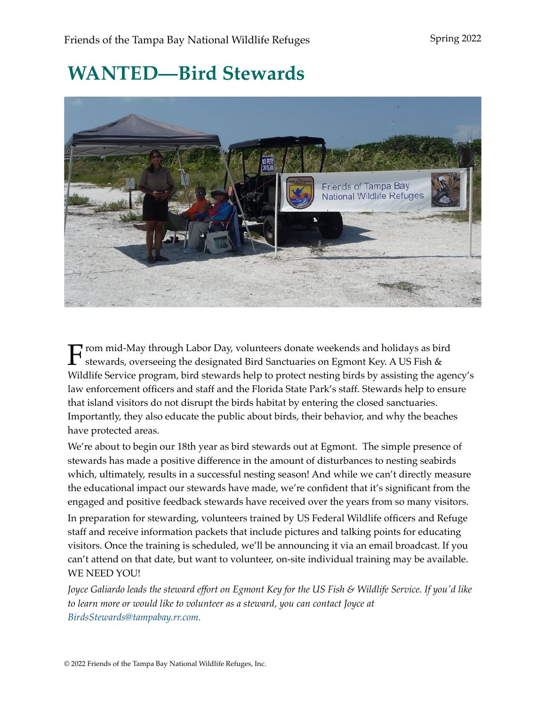# **WANTED—Bird Stewards**



From mid-May through Labor Day, volunteers donate weekends and holidays as bird stewards, overseeing the designated Bird Sanctuaries on Egmont Key. A US Fish & Wildlife Service program, bird stewards help to protect nesting birds by assisting the agency's law enforcement officers and staff and the Florida State Park's staff. Stewards help to ensure that island visitors do not disrupt the birds habitat by entering the closed sanctuaries. Importantly, they also educate the public about birds, their behavior, and why the beaches have protected areas.

We're about to begin our 18th year as bird stewards out at Egmont. The simple presence of stewards has made a positive difference in the amount of disturbances to nesting seabirds which, ultimately, results in a successful nesting season! And while we can't directly measure the educational impact our stewards have made, we're confident that it's significant from the engaged and positive feedback stewards have received over the years from so many visitors.

In preparation for stewarding, volunteers trained by US Federal Wildlife officers and Refuge staff and receive information packets that include pictures and talking points for educating visitors. Once the training is scheduled, we'll be announcing it via an email broadcast. If you can't attend on that date, but want to volunteer, on-site individual training may be available. WE NEED YOU!

*Joyce Galiardo leads the steward effort on Egmont Key for the US Fish & Wildlife Service. If you'd like to learn more or would like to volunteer as a steward, you can contact Joyce at BirdsStewards@tampabay.rr.com.*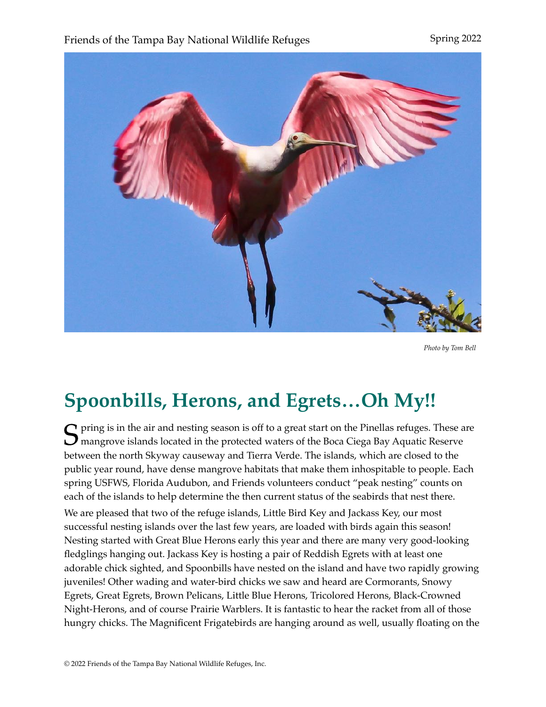### Friends of the Tampa Bay National Wildlife Refuges Spring 2022



*Photo by Tom Bell*

### **Spoonbills, Herons, and Egrets…Oh My!!**

 $\bigcap$  pring is in the air and nesting season is off to a great start on the Pinellas refuges. These are  $\bigcup$  mangrove islands located in the protected waters of the Boca Ciega Bay Aquatic Reserve between the north Skyway causeway and Tierra Verde. The islands, which are closed to the public year round, have dense mangrove habitats that make them inhospitable to people. Each spring USFWS, Florida Audubon, and Friends volunteers conduct "peak nesting" counts on each of the islands to help determine the then current status of the seabirds that nest there. We are pleased that two of the refuge islands, Little Bird Key and Jackass Key, our most successful nesting islands over the last few years, are loaded with birds again this season! Nesting started with Great Blue Herons early this year and there are many very good-looking fledglings hanging out. Jackass Key is hosting a pair of Reddish Egrets with at least one adorable chick sighted, and Spoonbills have nested on the island and have two rapidly growing juveniles! Other wading and water-bird chicks we saw and heard are Cormorants, Snowy Egrets, Great Egrets, Brown Pelicans, Little Blue Herons, Tricolored Herons, Black-Crowned Night-Herons, and of course Prairie Warblers. It is fantastic to hear the racket from all of those hungry chicks. The Magnificent Frigatebirds are hanging around as well, usually floating on the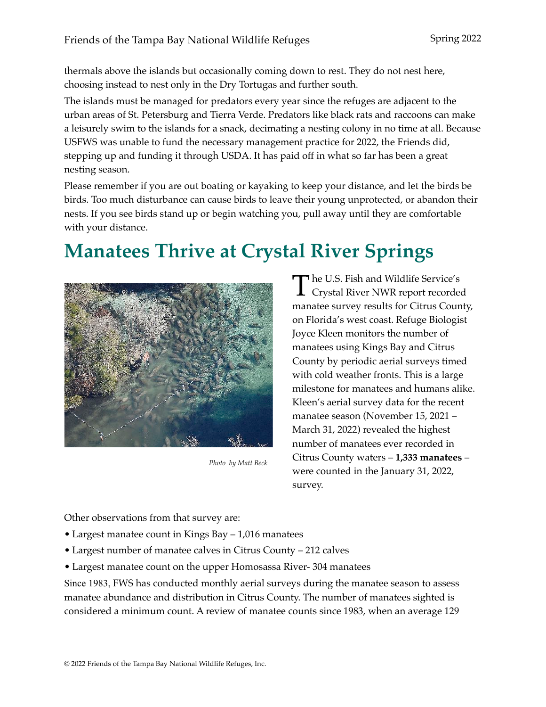thermals above the islands but occasionally coming down to rest. They do not nest here, choosing instead to nest only in the Dry Tortugas and further south.

The islands must be managed for predators every year since the refuges are adjacent to the urban areas of St. Petersburg and Tierra Verde. Predators like black rats and raccoons can make a leisurely swim to the islands for a snack, decimating a nesting colony in no time at all. Because USFWS was unable to fund the necessary management practice for 2022, the Friends did, stepping up and funding it through USDA. It has paid off in what so far has been a great nesting season.

Please remember if you are out boating or kayaking to keep your distance, and let the birds be birds. Too much disturbance can cause birds to leave their young unprotected, or abandon their nests. If you see birds stand up or begin watching you, pull away until they are comfortable with your distance.

# **Manatees Thrive at Crystal River Springs**



*Photo by Matt Beck*

The U.S. Fish and Wildlife Service's<br>Crystal River NWR report recorded manatee survey results for Citrus County, on Florida's west coast. Refuge Biologist Joyce Kleen monitors the number of manatees using Kings Bay and Citrus County by periodic aerial surveys timed with cold weather fronts. This is a large milestone for manatees and humans alike. Kleen's aerial survey data for the recent manatee season (November 15, 2021 – March 31, 2022) revealed the highest number of manatees ever recorded in Citrus County waters – **1,333 manatees** – were counted in the January 31, 2022, survey.

Other observations from that survey are:

- Largest manatee count in Kings Bay 1,016 manatees
- Largest number of manatee calves in Citrus County 212 calves
- Largest manatee count on the upper Homosassa River- 304 manatees

Since 1983, FWS has conducted monthly aerial surveys during the manatee season to assess manatee abundance and distribution in Citrus County. The number of manatees sighted is considered a minimum count. A review of manatee counts since 1983, when an average 129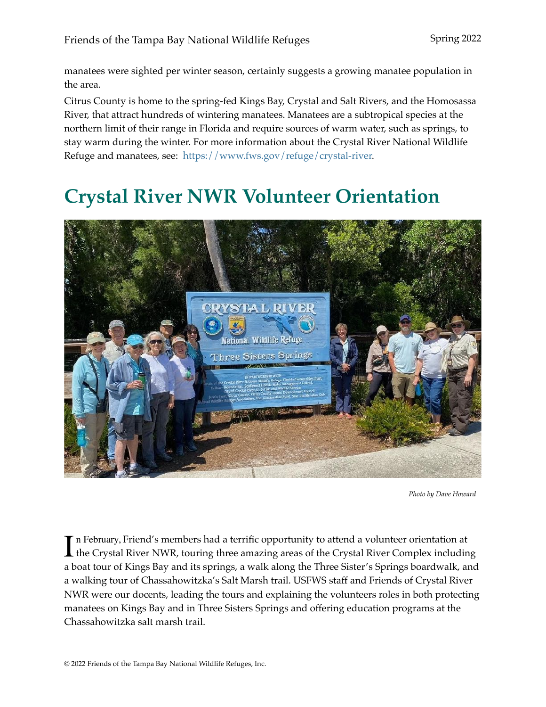manatees were sighted per winter season, certainly suggests a growing manatee population in the area.

Citrus County is home to the spring-fed Kings Bay, Crystal and Salt Rivers, and the Homosassa River, that attract hundreds of wintering manatees. Manatees are a subtropical species at the northern limit of their range in Florida and require sources of warm water, such as springs, to stay warm during the winter. For more information about the Crystal River National Wildlife Refuge and manatees, see: https://www.fws.gov/refuge/crystal-river.

### **Crystal River NWR Volunteer Orientation**



*Photo by Dave Howard*

In February, Friend's members had a terrific opportunity to attend a volunteer orientation at<br>the Crystal River NWR, touring three amazing areas of the Crystal River Complex including n February, Friend's members had a terrific opportunity to attend a volunteer orientation at a boat tour of Kings Bay and its springs, a walk along the Three Sister's Springs boardwalk, and a walking tour of Chassahowitzka's Salt Marsh trail. USFWS staff and Friends of Crystal River NWR were our docents, leading the tours and explaining the volunteers roles in both protecting manatees on Kings Bay and in Three Sisters Springs and offering education programs at the Chassahowitzka salt marsh trail.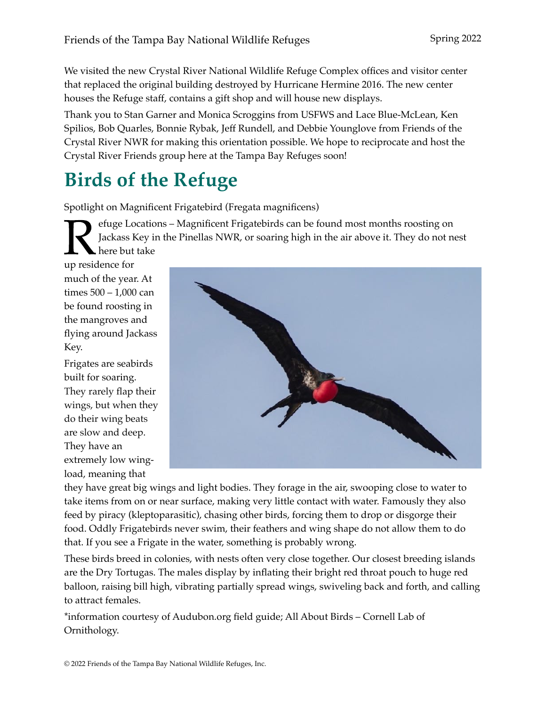We visited the new Crystal River National Wildlife Refuge Complex offices and visitor center that replaced the original building destroyed by Hurricane Hermine 2016. The new center houses the Refuge staff, contains a gift shop and will house new displays.

Thank you to Stan Garner and Monica Scroggins from USFWS and Lace Blue-McLean, Ken Spilios, Bob Quarles, Bonnie Rybak, Jeff Rundell, and Debbie Younglove from Friends of the Crystal River NWR for making this orientation possible. We hope to reciprocate and host the Crystal River Friends group here at the Tampa Bay Refuges soon!

### **Birds of the Refuge**

Spotlight on Magnificent Frigatebird (Fregata magnificens)

Fuge Locations – Magnificent Frigatebirds can be found most months roosting on<br>Jackass Key in the Pinellas NWR, or soaring high in the air above it. They do not no<br>there but take Jackass Key in the Pinellas NWR, or soaring high in the air above it. They do not nest here but take

up residence for much of the year. At times 500 – 1,000 can be found roosting in the mangroves and flying around Jackass Key.

Frigates are seabirds built for soaring. They rarely flap their wings, but when they do their wing beats are slow and deep. They have an extremely low wingload, meaning that



they have great big wings and light bodies. They forage in the air, swooping close to water to take items from on or near surface, making very little contact with water. Famously they also feed by piracy (kleptoparasitic), chasing other birds, forcing them to drop or disgorge their food. Oddly Frigatebirds never swim, their feathers and wing shape do not allow them to do that. If you see a Frigate in the water, something is probably wrong.

These birds breed in colonies, with nests often very close together. Our closest breeding islands are the Dry Tortugas. The males display by inflating their bright red throat pouch to huge red balloon, raising bill high, vibrating partially spread wings, swiveling back and forth, and calling to attract females.

\*information courtesy of Audubon.org field guide; All About Birds – Cornell Lab of Ornithology.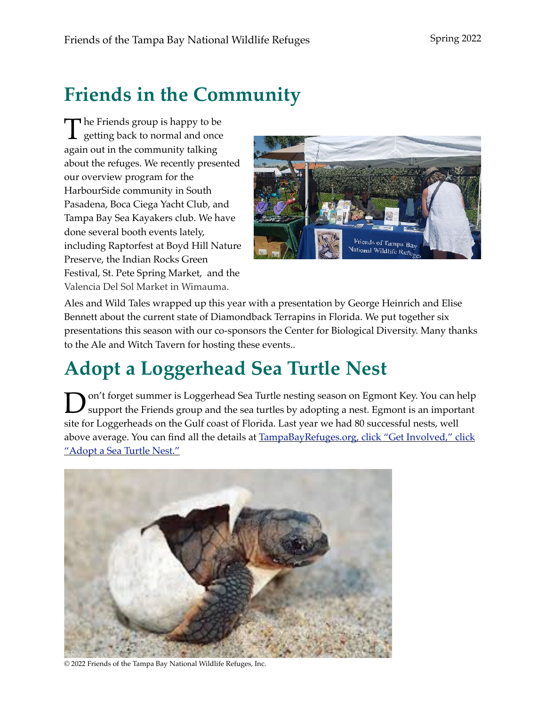# **Friends in the Community**

 $\blacksquare$  he Friends group is happy to be  $\perp$  getting back to normal and once again out in the community talking about the refuges. We recently presented our overview program for the HarbourSide community in South Pasadena, Boca Ciega Yacht Club, and Tampa Bay Sea Kayakers club. We have done several booth events lately, including Raptorfest at Boyd Hill Nature Preserve, the Indian Rocks Green Festival, St. Pete Spring Market, and the Valencia Del Sol Market in Wimauma.



Ales and Wild Tales wrapped up this year with a presentation by George Heinrich and Elise Bennett about the current state of Diamondback Terrapins in Florida. We put together six presentations this season with our co-sponsors the Center for Biological Diversity. Many thanks to the Ale and Witch Tavern for hosting these events..

# **Adopt a Loggerhead Sea Turtle Nest**

Don't forget summer is Loggerhead Sea Turtle nesting season on Egmont Key. You can help support the Friends group and the sea turtles by adopting a nest. Egmont is an important site for Loggerheads on the Gulf coast of Florida. Last year we had 80 successful nests, well above average. You can find all the details at TampaBayRefuges.org, click "Get Involved," click "Adopt a Sea Turtle Nest."



© 2022 Friends of the Tampa Bay National Wildlife Refuges, Inc.